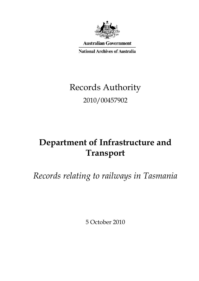

**Australian Government** 

**National Archives of Australia** 

# Records Authority 2010/00457902

## **Department of Infrastructure and Transport**

*Records relating to railways in Tasmania*

5 October 2010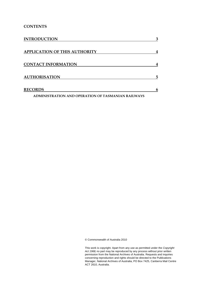#### **CONTENTS**

| <b>INTRODUCTION</b>                                | 3 |
|----------------------------------------------------|---|
| <b>APPLICATION OF THIS AUTHORITY</b>               | 4 |
| <b>CONTACT INFORMATION</b>                         | 4 |
| <b>AUTHORISATION</b>                               | 5 |
| <b>RECORDS</b>                                     | 6 |
| ADMINISTRATION AND OPERATION OF TASMANIAN RAILWAYS |   |

© Commonwealth of Australia 2010

This work is copyright. Apart from any use as permitted under the *Copyright Act 1968,* no part may be reproduced by any process without prior written permission from the National Archives of Australia. Requests and inquiries concerning reproduction and rights should be directed to the Publications Manager, National Archives of Australia, PO Box 7425, Canberra Mail Centre ACT 2610, Australia.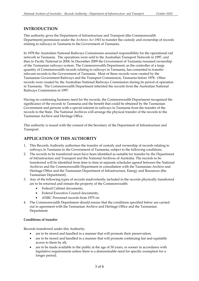#### **INTRODUCTION**

This authority gives the Department of Infrastructure and Transport (the Commonwealth Department) permission under the *Archives Act 1983* to transfer the custody and ownership of records relating to railways in Tasmania to the Government of Tasmania.

 then to Pacific National in 2004. In December 2009 the Government of Tasmania resumed ownership in Tasmania. The Commonwealth Department inherited the records from the Australian National In 1978 the Australian National Railways Commission assumed responsibility for the operational rail network in Tasmania. The operations were sold to the Australian Transport Network in 1997, and of the Tasmanian railways system. The Commonwealth Department, as the controller of a large quantity of Commonwealth records relating to railways in Tasmania, has consented to transfer relevant records to the Government of Tasmania. Most of these records were created by the Tasmanian Government Railways and the Transport Commission, Tasmania before 1978. Other records were created by the Australian National Railways Commission during its period of operation Railways Commission in 1997.

Having no continuing business need for the records, the Commonwealth Department recognised the significance of the records to Tasmania and the benefit that could be obtained by the Tasmanian Government and persons with a special interest in railways in Tasmania from the transfer of the records to the State. The National Archives will arrange the physical transfer of the records to the Tasmanian Archive and Heritage Office.

This authority is issued with the consent of the Secretary of the Department of Infrastructure and Transport.

#### **APPLICATION OF THIS AUTHORITY**

- 1.This Records Authority authorises the transfer of custody and ownership of records relating to railways in Tasmania to the Government of Tasmania, subject to the following conditions.
- $2.$ The records to be transferred must have been identified as suitable for transfer by the Department of Infrastructure and Transport and the National Archives of Australia. The records to be transferred will be identified from time to time in separate schedules agreed between the National Archives and the Commonwealth Department in consultation with the Tasmanian Archive and Heritage Office and the Tasmanian Department of Infrastructure, Energy and Resources (the Tasmanian Department).
- 3.Any of the following types of records inadvertently included in the records physically transferred are to be returned and remain the property of the Commonwealth:
	- Federal Cabinet documents;
	- $\bullet$ •Federal Executive Council documents;
	- •ANRC Personnel records from 1975 on.
- 4. The Commonwealth Department should ensure that the conditions specified below are carried out in agreement with the Tasmanian Archive and Heritage Office and the Tasmanian Department.

#### **Conditions of transfer**

Records transferred under this Authority:

- are to be stored and handled in a manner that will promote their preservation;
- $\bullet$ are to be stored and handled in a manner that will promote continuing fair and equitable access to them by all;
- are to be made available to the public at the age of 30 years, or sooner in accordance with legislative requirements unless there is a demonstrable need for specific exemption for a longer period;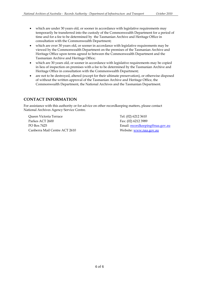- time and for a fee to be determined by the Tasmanian Archive and Heritage Office in • which are under 30 years old, or sooner in accordance with legislative requirements may temporarily be transferred into the custody of the Commonwealth Department for a period of consultation with the Commonwealth Department;
- •which are over 30 years old, or sooner in accordance with legislative requirements may be viewed by the Commonwealth Department on the premises of the Tasmanian Archive and Heritage Office upon terms agreed to between the Commonwealth Department and the Tasmanian Archive and Heritage Office;
- •which are 30 years old, or sooner in accordance with legislative requirements may be copied in lieu of inspection on premises with a fee to be determined by the Tasmanian Archive and Heritage Office in consultation with the Commonwealth Department;
- $\bullet$ are not to be destroyed, altered (except for their ultimate preservation), or otherwise disposed of without the written approval of the Tasmanian Archive and Heritage Office, the Commonwealth Department, the National Archives and the Tasmanian Department.

#### **CONTACT INFORMATION**

For assistance with this authority or for advice on other recordkeeping matters, please contact National Archives Agency Service Centre.

Parkes ACT 2600 Fax: (02) 6212 3989 Queen Victoria Terrace Tel: (02) 6212 3610 Canberra Mail Centre ACT 2610 Website: www.naa.gov.au

PO Box 7425 **Email:** recordkeeping@naa.gov.au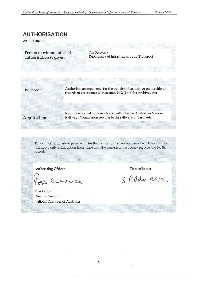### **AUTHORISATION**

2010/00457902

Person to whom notice of The Secretary

authorisation is given: Department of Infrastructure and Transport

**Purpose:** Authorises arrangements for the transfer of custody or ownership of records in accordance with section 24(2)(b) of the Archives Act

Records recorded or formerly controlled by the Australian National Application: Railways Commission relating to the railways in Tasmania.

This authorisation gives permission for the transfer of the records described. The authority will apply only if this action takes place with the consent of the agency responsible for the records.

Authorising Officer **Date of issue:** 

lians.

Ross Gibbs Director-General National Archives of Australia

5 October 2010.